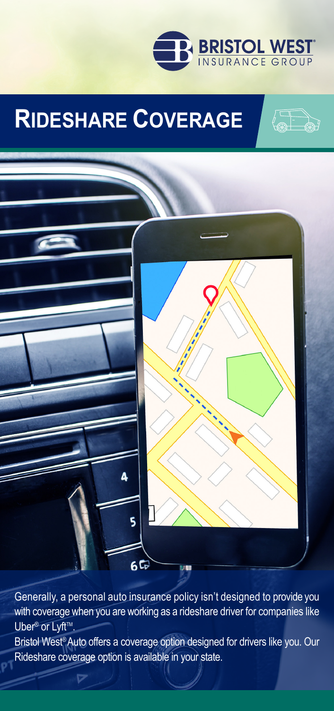

(TD)

# **RIDESHARE COVERAGE**



Generally, a personal auto insurance policy isn't designed to provide you with coverage when you are working as a rideshare driver for companies like Uber<sup>®</sup> or Lyft<sup>™</sup>. Bristol West® Auto offers a coverage option designed for drivers like you. Our Rideshare coverage option is available in your state.